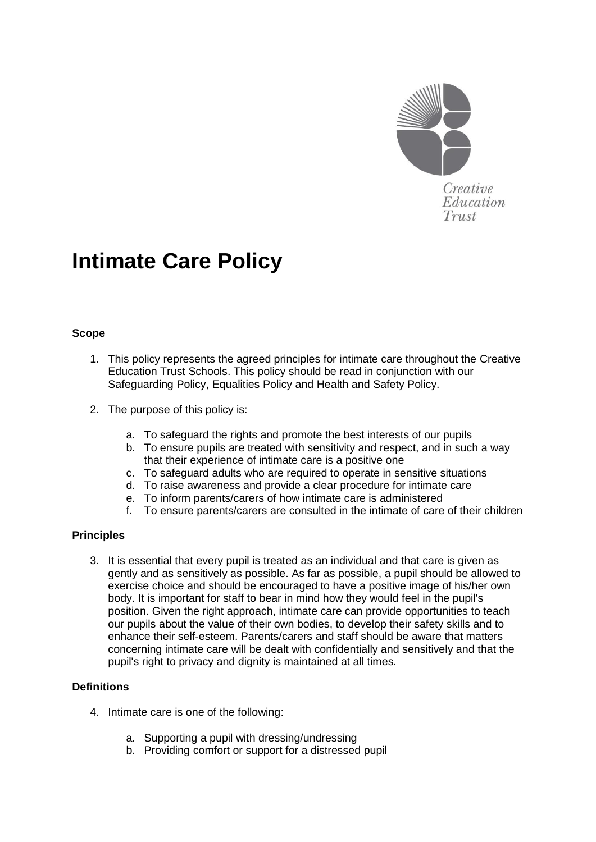

# **Intimate Care Policy**

## **Scope**

- 1. This policy represents the agreed principles for intimate care throughout the Creative Education Trust Schools. This policy should be read in conjunction with our Safeguarding Policy, Equalities Policy and Health and Safety Policy.
- 2. The purpose of this policy is:
	- a. To safeguard the rights and promote the best interests of our pupils
	- b. To ensure pupils are treated with sensitivity and respect, and in such a way that their experience of intimate care is a positive one
	- c. To safeguard adults who are required to operate in sensitive situations
	- d. To raise awareness and provide a clear procedure for intimate care
	- e. To inform parents/carers of how intimate care is administered
	- f. To ensure parents/carers are consulted in the intimate of care of their children

## **Principles**

3. It is essential that every pupil is treated as an individual and that care is given as gently and as sensitively as possible. As far as possible, a pupil should be allowed to exercise choice and should be encouraged to have a positive image of his/her own body. It is important for staff to bear in mind how they would feel in the pupil's position. Given the right approach, intimate care can provide opportunities to teach our pupils about the value of their own bodies, to develop their safety skills and to enhance their self-esteem. Parents/carers and staff should be aware that matters concerning intimate care will be dealt with confidentially and sensitively and that the pupil's right to privacy and dignity is maintained at all times.

## **Definitions**

- 4. Intimate care is one of the following:
	- a. Supporting a pupil with dressing/undressing
	- b. Providing comfort or support for a distressed pupil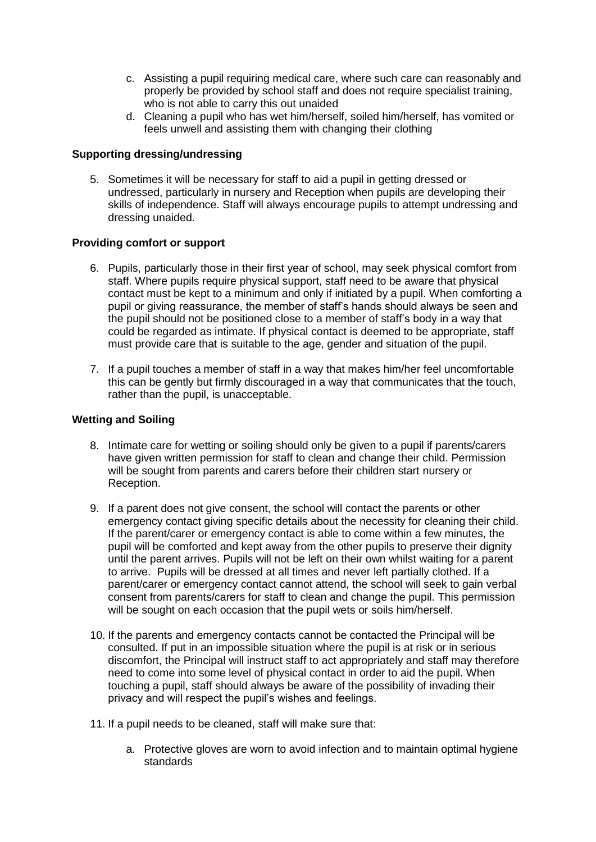- c. Assisting a pupil requiring medical care, where such care can reasonably and properly be provided by school staff and does not require specialist training, who is not able to carry this out unaided
- d. Cleaning a pupil who has wet him/herself, soiled him/herself, has vomited or feels unwell and assisting them with changing their clothing

## **Supporting dressing/undressing**

5. Sometimes it will be necessary for staff to aid a pupil in getting dressed or undressed, particularly in nursery and Reception when pupils are developing their skills of independence. Staff will always encourage pupils to attempt undressing and dressing unaided.

#### **Providing comfort or support**

- 6. Pupils, particularly those in their first year of school, may seek physical comfort from staff. Where pupils require physical support, staff need to be aware that physical contact must be kept to a minimum and only if initiated by a pupil. When comforting a pupil or giving reassurance, the member of staff's hands should always be seen and the pupil should not be positioned close to a member of staff's body in a way that could be regarded as intimate. If physical contact is deemed to be appropriate, staff must provide care that is suitable to the age, gender and situation of the pupil.
- 7. If a pupil touches a member of staff in a way that makes him/her feel uncomfortable this can be gently but firmly discouraged in a way that communicates that the touch, rather than the pupil, is unacceptable.

#### **Wetting and Soiling**

- 8. Intimate care for wetting or soiling should only be given to a pupil if parents/carers have given written permission for staff to clean and change their child. Permission will be sought from parents and carers before their children start nursery or Reception.
- 9. If a parent does not give consent, the school will contact the parents or other emergency contact giving specific details about the necessity for cleaning their child. If the parent/carer or emergency contact is able to come within a few minutes, the pupil will be comforted and kept away from the other pupils to preserve their dignity until the parent arrives. Pupils will not be left on their own whilst waiting for a parent to arrive. Pupils will be dressed at all times and never left partially clothed. If a parent/carer or emergency contact cannot attend, the school will seek to gain verbal consent from parents/carers for staff to clean and change the pupil. This permission will be sought on each occasion that the pupil wets or soils him/herself.
- 10. If the parents and emergency contacts cannot be contacted the Principal will be consulted. If put in an impossible situation where the pupil is at risk or in serious discomfort, the Principal will instruct staff to act appropriately and staff may therefore need to come into some level of physical contact in order to aid the pupil. When touching a pupil, staff should always be aware of the possibility of invading their privacy and will respect the pupil's wishes and feelings.
- 11. If a pupil needs to be cleaned, staff will make sure that:
	- a. Protective gloves are worn to avoid infection and to maintain optimal hygiene standards